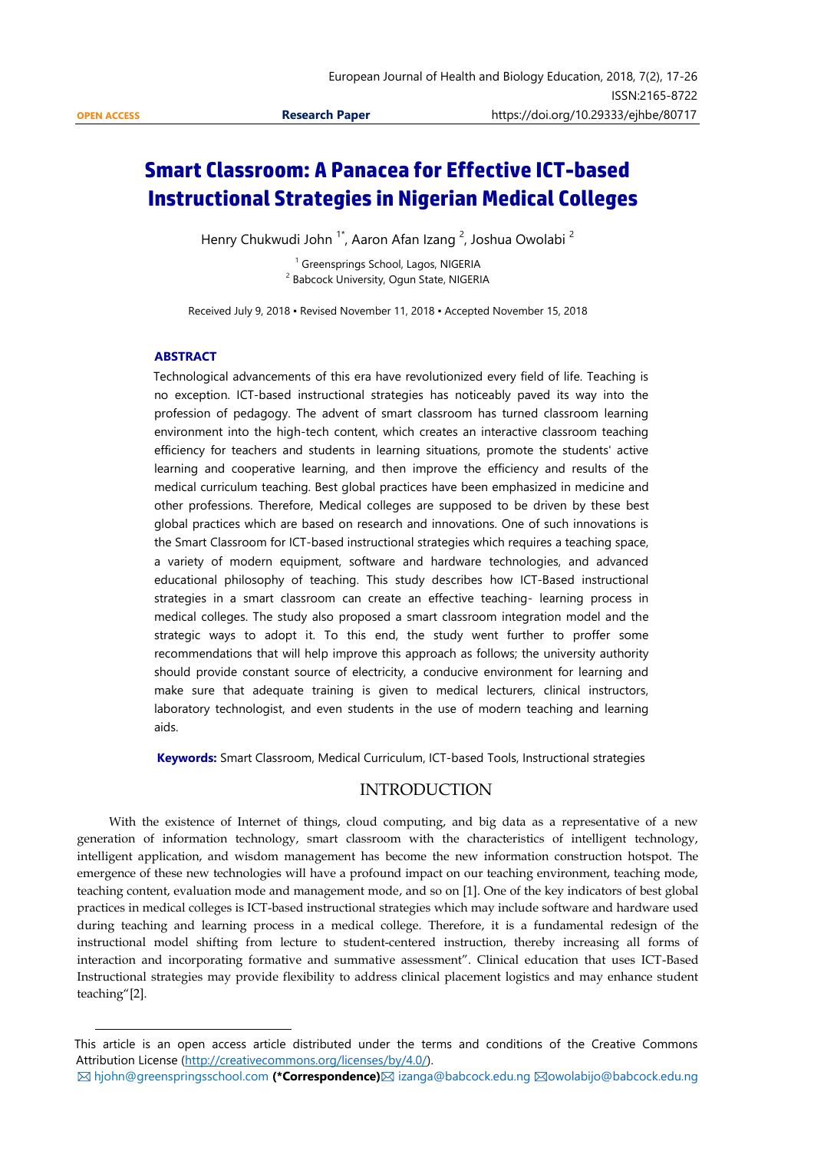1

# **Smart Classroom: A Panacea for Effective ICT-based Instructional Strategies in Nigerian Medical Colleges**

Henry Chukwudi John <sup>1\*</sup>, Aaron Afan Izang <sup>2</sup>, Joshua Owolabi <sup>2</sup>

<sup>1</sup> Greensprings School, Lagos, NIGERIA <sup>2</sup> Babcock University, Ogun State, NIGERIA

Received July 9, 2018 ▪ Revised November 11, 2018 ▪ Accepted November 15, 2018

#### **ABSTRACT**

Technological advancements of this era have revolutionized every field of life. Teaching is no exception. ICT-based instructional strategies has noticeably paved its way into the profession of pedagogy. The advent of smart classroom has turned classroom learning environment into the high-tech content, which creates an interactive classroom teaching efficiency for teachers and students in learning situations, promote the students' active learning and cooperative learning, and then improve the efficiency and results of the medical curriculum teaching. Best global practices have been emphasized in medicine and other professions. Therefore, Medical colleges are supposed to be driven by these best global practices which are based on research and innovations. One of such innovations is the Smart Classroom for ICT-based instructional strategies which requires a teaching space, a variety of modern equipment, software and hardware technologies, and advanced educational philosophy of teaching. This study describes how ICT-Based instructional strategies in a smart classroom can create an effective teaching- learning process in medical colleges. The study also proposed a smart classroom integration model and the strategic ways to adopt it. To this end, the study went further to proffer some recommendations that will help improve this approach as follows; the university authority should provide constant source of electricity, a conducive environment for learning and make sure that adequate training is given to medical lecturers, clinical instructors, laboratory technologist, and even students in the use of modern teaching and learning aids.

**Keywords:** Smart Classroom, Medical Curriculum, ICT-based Tools, Instructional strategies

## INTRODUCTION

 With the existence of Internet of things, cloud computing, and big data as a representative of a new generation of information technology, smart classroom with the characteristics of intelligent technology, intelligent application, and wisdom management has become the new information construction hotspot. The emergence of these new technologies will have a profound impact on our teaching environment, teaching mode, teaching content, evaluation mode and management mode, and so on [1]. One of the key indicators of best global practices in medical colleges is ICT-based instructional strategies which may include software and hardware used during teaching and learning process in a medical college. Therefore, it is a fundamental redesign of the instructional model shifting from lecture to student-centered instruction, thereby increasing all forms of interaction and incorporating formative and summative assessment". Clinical education that uses ICT-Based Instructional strategies may provide flexibility to address clinical placement logistics and may enhance student teaching"[2].

This article is an open access article distributed under the terms and conditions of the Creative Commons Attribution License [\(http://creativecommons.org/licenses/by/4.0/\)](http://creativecommons.org/licenses/by/4.0/).

 $\boxtimes$  **[hjohn@greenspringsschool.com](mailto:hjohn@greenspringsschool.com) (\*Correspondence)** [izanga@babcock.edu.ng](mailto:izanga@babcock.edu.ng)  $\boxtimes$ [owolabijo@babcock.edu.ng](mailto:owolabijo@babcock.edu.ng)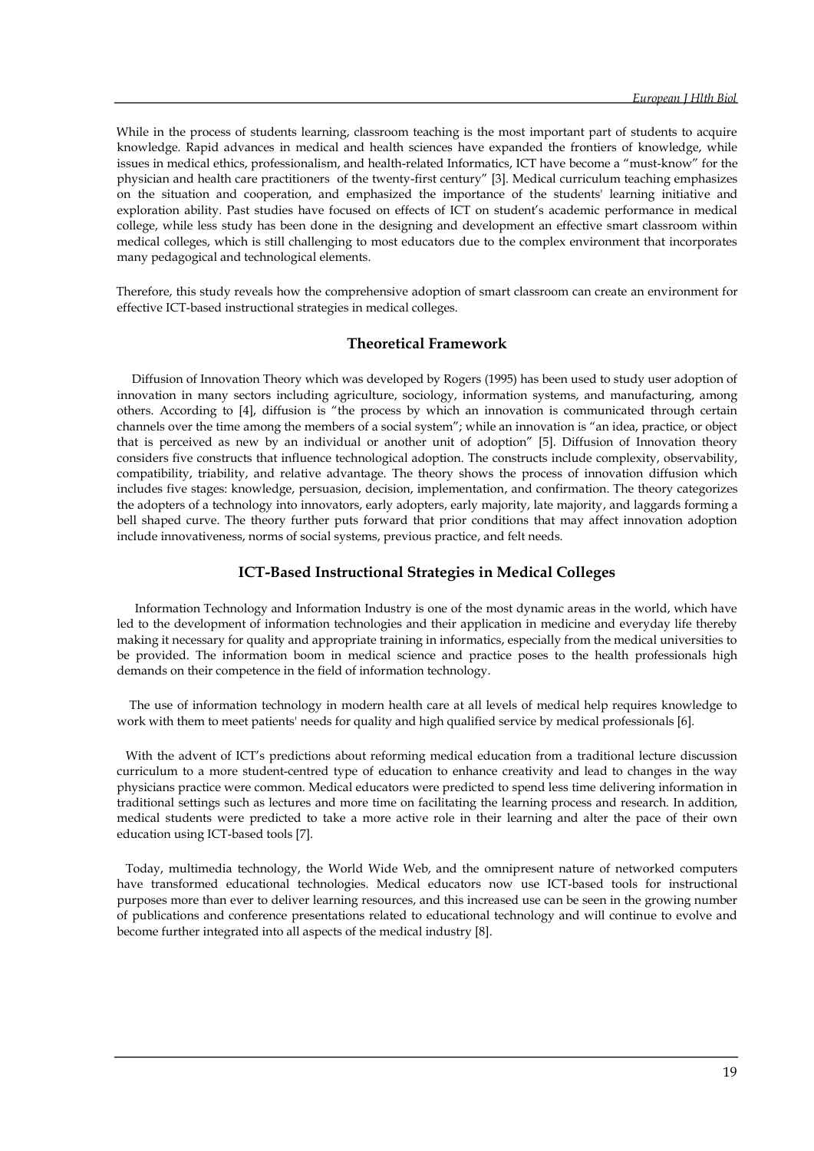While in the process of students learning, classroom teaching is the most important part of students to acquire knowledge. Rapid advances in medical and health sciences have expanded the frontiers of knowledge, while issues in medical ethics, professionalism, and health-related Informatics, ICT have become a "must-know" for the physician and health care practitioners of the twenty-first century" [3]. Medical curriculum teaching emphasizes on the situation and cooperation, and emphasized the importance of the students' learning initiative and exploration ability. Past studies have focused on effects of ICT on student's academic performance in medical college, while less study has been done in the designing and development an effective smart classroom within medical colleges, which is still challenging to most educators due to the complex environment that incorporates many pedagogical and technological elements.

Therefore, this study reveals how the comprehensive adoption of smart classroom can create an environment for effective ICT-based instructional strategies in medical colleges.

## **Theoretical Framework**

 Diffusion of Innovation Theory which was developed by Rogers (1995) has been used to study user adoption of innovation in many sectors including agriculture, sociology, information systems, and manufacturing, among others. According to [4], diffusion is "the process by which an innovation is communicated through certain channels over the time among the members of a social system"; while an innovation is "an idea, practice, or object that is perceived as new by an individual or another unit of adoption" [5]. Diffusion of Innovation theory considers five constructs that influence technological adoption. The constructs include complexity, observability, compatibility, triability, and relative advantage. The theory shows the process of innovation diffusion which includes five stages: knowledge, persuasion, decision, implementation, and confirmation. The theory categorizes the adopters of a technology into innovators, early adopters, early majority, late majority, and laggards forming a bell shaped curve. The theory further puts forward that prior conditions that may affect innovation adoption include innovativeness, norms of social systems, previous practice, and felt needs.

## **ICT-Based Instructional Strategies in Medical Colleges**

 Information Technology and Information Industry is one of the most dynamic areas in the world, which have led to the development of information technologies and their application in medicine and everyday life thereby making it necessary for quality and appropriate training in informatics, especially from the medical universities to be provided. The information boom in medical science and practice poses to the health professionals high demands on their competence in the field of information technology.

 The use of information technology in modern health care at all levels of medical help requires knowledge to work with them to meet patients' needs for quality and high qualified service by medical professionals [6].

 With the advent of ICT's predictions about reforming medical education from a traditional lecture discussion curriculum to a more student-centred type of education to enhance creativity and lead to changes in the way physicians practice were common. Medical educators were predicted to spend less time delivering information in traditional settings such as lectures and more time on facilitating the learning process and research. In addition, medical students were predicted to take a more active role in their learning and alter the pace of their own education using ICT-based tools [7].

 Today, multimedia technology, the World Wide Web, and the omnipresent nature of networked computers have transformed educational technologies. Medical educators now use ICT-based tools for instructional purposes more than ever to deliver learning resources, and this increased use can be seen in the growing number of publications and conference presentations related to educational technology and will continue to evolve and become further integrated into all aspects of the medical industry [8].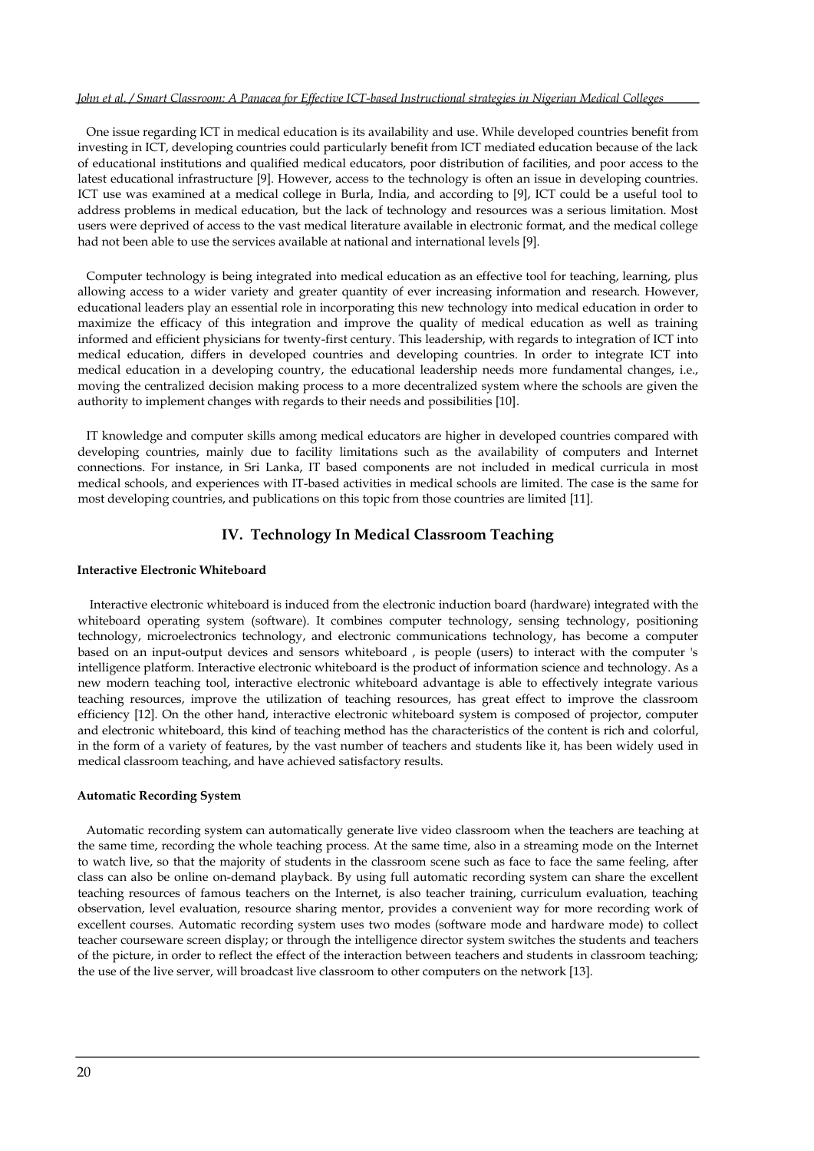#### *John et al. / Smart Classroom: A Panacea for Effective ICT-based Instructional strategies in Nigerian Medical Colleges*

 One issue regarding ICT in medical education is its availability and use. While developed countries benefit from investing in ICT, developing countries could particularly benefit from ICT mediated education because of the lack of educational institutions and qualified medical educators, poor distribution of facilities, and poor access to the latest educational infrastructure [9]. However, access to the technology is often an issue in developing countries. ICT use was examined at a medical college in Burla, India, and according to [9], ICT could be a useful tool to address problems in medical education, but the lack of technology and resources was a serious limitation. Most users were deprived of access to the vast medical literature available in electronic format, and the medical college had not been able to use the services available at national and international levels [9].

 Computer technology is being integrated into medical education as an effective tool for teaching, learning, plus allowing access to a wider variety and greater quantity of ever increasing information and research. However, educational leaders play an essential role in incorporating this new technology into medical education in order to maximize the efficacy of this integration and improve the quality of medical education as well as training informed and efficient physicians for twenty-first century. This leadership, with regards to integration of ICT into medical education, differs in developed countries and developing countries. In order to integrate ICT into medical education in a developing country, the educational leadership needs more fundamental changes, i.e., moving the centralized decision making process to a more decentralized system where the schools are given the authority to implement changes with regards to their needs and possibilities [10].

 IT knowledge and computer skills among medical educators are higher in developed countries compared with developing countries, mainly due to facility limitations such as the availability of computers and Internet connections. For instance, in Sri Lanka, IT based components are not included in medical curricula in most medical schools, and experiences with IT-based activities in medical schools are limited. The case is the same for most developing countries, and publications on this topic from those countries are limited [11].

## **IV. Technology In Medical Classroom Teaching**

#### **Interactive Electronic Whiteboard**

 Interactive electronic whiteboard is induced from the electronic induction board (hardware) integrated with the whiteboard operating system (software). It combines computer technology, sensing technology, positioning technology, microelectronics technology, and electronic communications technology, has become a computer based on an input-output devices and sensors whiteboard , is people (users) to interact with the computer 's intelligence platform. Interactive electronic whiteboard is the product of information science and technology. As a new modern teaching tool, interactive electronic whiteboard advantage is able to effectively integrate various teaching resources, improve the utilization of teaching resources, has great effect to improve the classroom efficiency [12]. On the other hand, interactive electronic whiteboard system is composed of projector, computer and electronic whiteboard, this kind of teaching method has the characteristics of the content is rich and colorful, in the form of a variety of features, by the vast number of teachers and students like it, has been widely used in medical classroom teaching, and have achieved satisfactory results.

#### **Automatic Recording System**

 Automatic recording system can automatically generate live video classroom when the teachers are teaching at the same time, recording the whole teaching process. At the same time, also in a streaming mode on the Internet to watch live, so that the majority of students in the classroom scene such as face to face the same feeling, after class can also be online on-demand playback. By using full automatic recording system can share the excellent teaching resources of famous teachers on the Internet, is also teacher training, curriculum evaluation, teaching observation, level evaluation, resource sharing mentor, provides a convenient way for more recording work of excellent courses. Automatic recording system uses two modes (software mode and hardware mode) to collect teacher courseware screen display; or through the intelligence director system switches the students and teachers of the picture, in order to reflect the effect of the interaction between teachers and students in classroom teaching; the use of the live server, will broadcast live classroom to other computers on the network [13].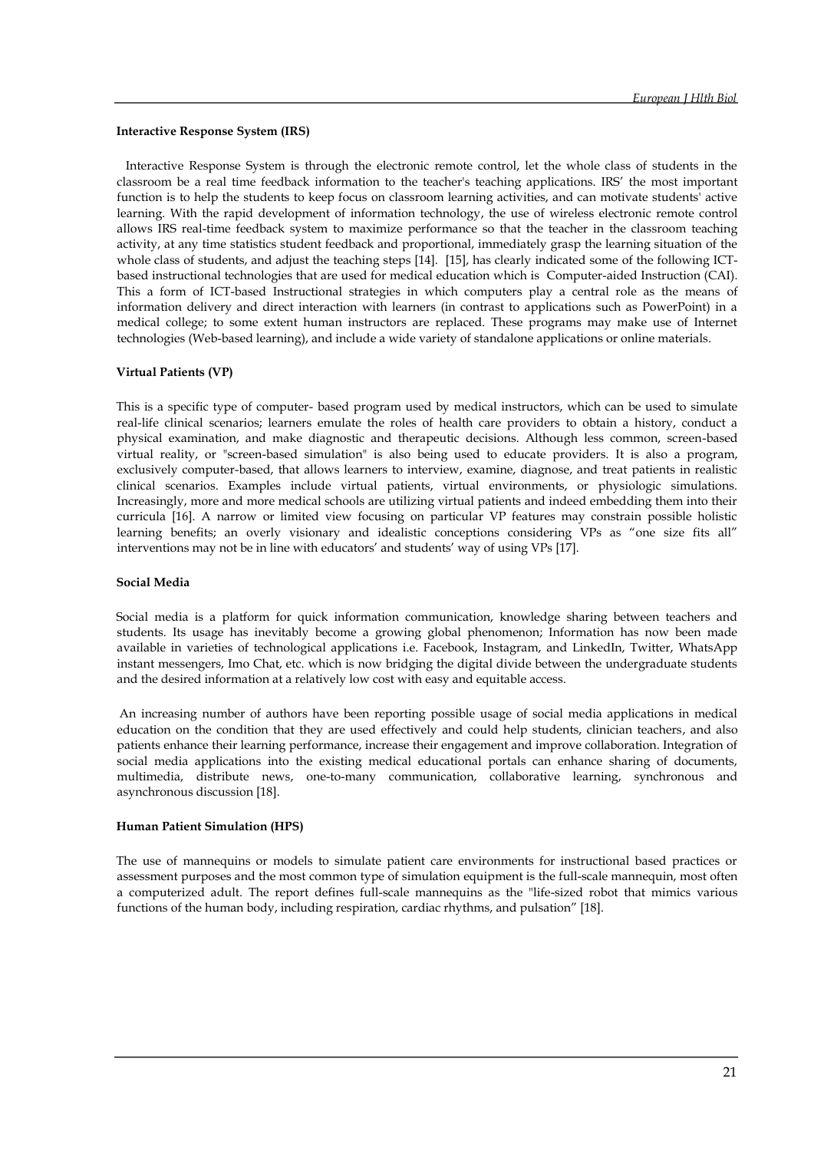#### **Interactive Response System (IRS)**

 Interactive Response System is through the electronic remote control, let the whole class of students in the classroom be a real time feedback information to the teacher's teaching applications. IRS' the most important function is to help the students to keep focus on classroom learning activities, and can motivate students' active learning. With the rapid development of information technology, the use of wireless electronic remote control allows IRS real-time feedback system to maximize performance so that the teacher in the classroom teaching activity, at any time statistics student feedback and proportional, immediately grasp the learning situation of the whole class of students, and adjust the teaching steps [14]. [15], has clearly indicated some of the following ICTbased instructional technologies that are used for medical education which is Computer-aided Instruction (CAI). This a form of ICT-based Instructional strategies in which computers play a central role as the means of information delivery and direct interaction with learners (in contrast to applications such as PowerPoint) in a medical college; to some extent human instructors are replaced. These programs may make use of Internet technologies (Web-based learning), and include a wide variety of standalone applications or online materials.

#### **Virtual Patients (VP)**

This is a specific type of computer- based program used by medical instructors, which can be used to simulate real-life clinical scenarios; learners emulate the roles of health care providers to obtain a history, conduct a physical examination, and make diagnostic and therapeutic decisions. Although less common, screen-based virtual reality, or "screen-based simulation" is also being used to educate providers. It is also a program, exclusively computer-based, that allows learners to interview, examine, diagnose, and treat patients in realistic clinical scenarios. Examples include virtual patients, virtual environments, or physiologic simulations. Increasingly, more and more medical schools are utilizing virtual patients and indeed embedding them into their curricula [16]. A narrow or limited view focusing on particular VP features may constrain possible holistic learning benefits; an overly visionary and idealistic conceptions considering VPs as "one size fits all" interventions may not be in line with educators' and students' way of using VPs [17].

#### **Social Media**

Social media is a platform for quick information communication, knowledge sharing between teachers and students. Its usage has inevitably become a growing global phenomenon; Information has now been made available in varieties of technological applications i.e. Facebook, Instagram, and LinkedIn, Twitter, WhatsApp instant messengers, Imo Chat, etc. which is now bridging the digital divide between the undergraduate students and the desired information at a relatively low cost with easy and equitable access.

An increasing number of authors have been reporting possible usage of social media applications in medical education on the condition that they are used effectively and could help students, clinician teachers, and also patients enhance their learning performance, increase their engagement and improve collaboration. Integration of social media applications into the existing medical educational portals can enhance sharing of documents, multimedia, distribute news, one-to-many communication, collaborative learning, synchronous and asynchronous discussion [18].

#### **Human Patient Simulation (HPS)**

The use of mannequins or models to simulate patient care environments for instructional based practices or assessment purposes and the most common type of simulation equipment is the full-scale mannequin, most often a computerized adult. The report defines full-scale mannequins as the "life-sized robot that mimics various functions of the human body, including respiration, cardiac rhythms, and pulsation" [18].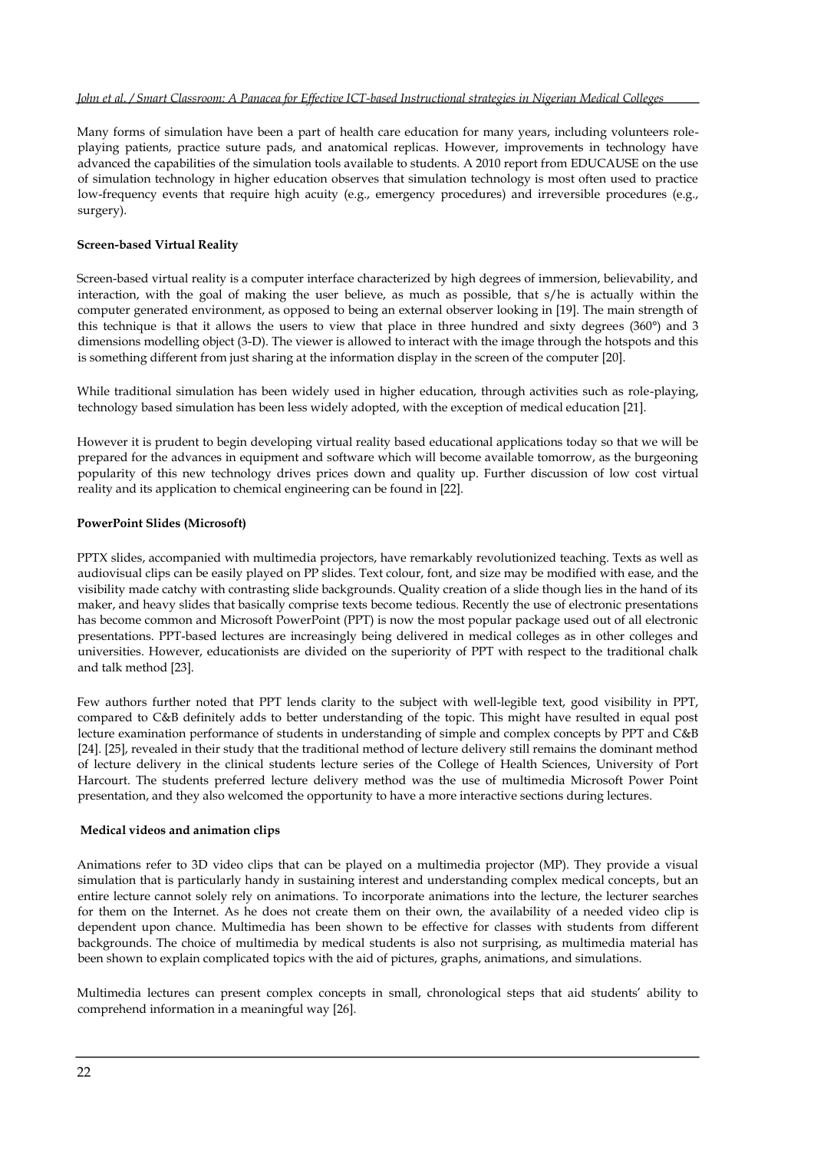#### *John et al. / Smart Classroom: A Panacea for Effective ICT-based Instructional strategies in Nigerian Medical Colleges*

Many forms of simulation have been a part of health care education for many years, including volunteers roleplaying patients, practice suture pads, and anatomical replicas. However, improvements in technology have advanced the capabilities of the simulation tools available to students. A 2010 report from EDUCAUSE on the use of simulation technology in higher education observes that simulation technology is most often used to practice low-frequency events that require high acuity (e.g., emergency procedures) and irreversible procedures (e.g., surgery).

#### **Screen-based Virtual Reality**

Screen-based virtual reality is a computer interface characterized by high degrees of immersion, believability, and interaction, with the goal of making the user believe, as much as possible, that s/he is actually within the computer generated environment, as opposed to being an external observer looking in [19]. The main strength of this technique is that it allows the users to view that place in three hundred and sixty degrees (360°) and 3 dimensions modelling object (3-D). The viewer is allowed to interact with the image through the hotspots and this is something different from just sharing at the information display in the screen of the computer [20].

While traditional simulation has been widely used in higher education, through activities such as role-playing, technology based simulation has been less widely adopted, with the exception of medical education [21].

However it is prudent to begin developing virtual reality based educational applications today so that we will be prepared for the advances in equipment and software which will become available tomorrow, as the burgeoning popularity of this new technology drives prices down and quality up. Further discussion of low cost virtual reality and its application to chemical engineering can be found in [22].

#### **PowerPoint Slides (Microsoft)**

PPTX slides, accompanied with multimedia projectors, have remarkably revolutionized teaching. Texts as well as audiovisual clips can be easily played on PP slides. Text colour, font, and size may be modified with ease, and the visibility made catchy with contrasting slide backgrounds. Quality creation of a slide though lies in the hand of its maker, and heavy slides that basically comprise texts become tedious. Recently the use of electronic presentations has become common and Microsoft PowerPoint (PPT) is now the most popular package used out of all electronic presentations. PPT-based lectures are increasingly being delivered in medical colleges as in other colleges and universities. However, educationists are divided on the superiority of PPT with respect to the traditional chalk and talk method [23].

Few authors further noted that PPT lends clarity to the subject with well-legible text, good visibility in PPT, compared to C&B definitely adds to better understanding of the topic. This might have resulted in equal post lecture examination performance of students in understanding of simple and complex concepts by PPT and C&B [24]. [25], revealed in their study that the traditional method of lecture delivery still remains the dominant method of lecture delivery in the clinical students lecture series of the College of Health Sciences, University of Port Harcourt. The students preferred lecture delivery method was the use of multimedia Microsoft Power Point presentation, and they also welcomed the opportunity to have a more interactive sections during lectures.

#### **Medical videos and animation clips**

Animations refer to 3D video clips that can be played on a multimedia projector (MP). They provide a visual simulation that is particularly handy in sustaining interest and understanding complex medical concepts, but an entire lecture cannot solely rely on animations. To incorporate animations into the lecture, the lecturer searches for them on the Internet. As he does not create them on their own, the availability of a needed video clip is dependent upon chance. Multimedia has been shown to be effective for classes with students from different backgrounds. The choice of multimedia by medical students is also not surprising, as multimedia material has been shown to explain complicated topics with the aid of pictures, graphs, animations, and simulations.

Multimedia lectures can present complex concepts in small, chronological steps that aid students' ability to comprehend information in a meaningful way [26].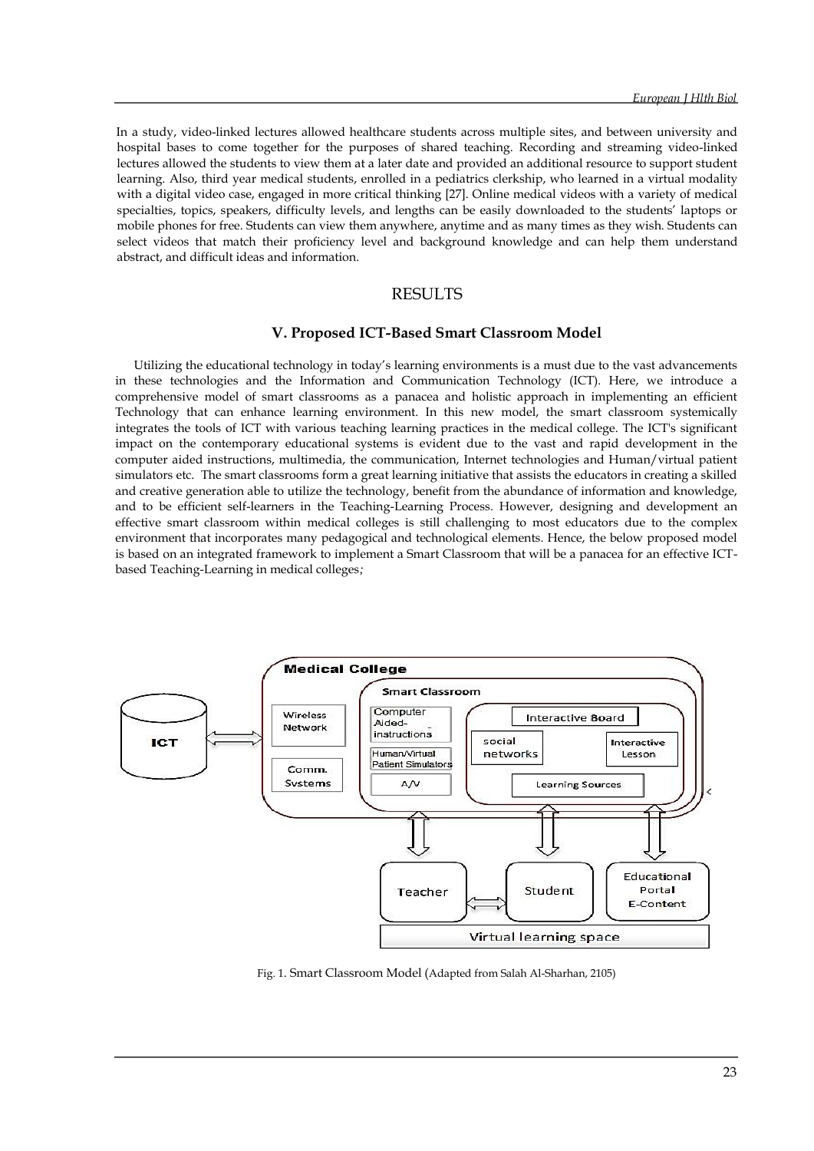In a study, video-linked lectures allowed healthcare students across multiple sites, and between university and hospital bases to come together for the purposes of shared teaching. Recording and streaming video-linked lectures allowed the students to view them at a later date and provided an additional resource to support student learning. Also, third year medical students, enrolled in a pediatrics clerkship, who learned in a virtual modality with a digital video case, engaged in more critical thinking [27]. Online medical videos with a variety of medical specialties, topics, speakers, difficulty levels, and lengths can be easily downloaded to the students' laptops or mobile phones for free. Students can view them anywhere, anytime and as many times as they wish. Students can select videos that match their proficiency level and background knowledge and can help them understand abstract, and difficult ideas and information.

## RESULTS

#### **V. Proposed ICT-Based Smart Classroom Model**

Utilizing the educational technology in today's learning environments is a must due to the vast advancements in these technologies and the Information and Communication Technology (ICT). Here, we introduce a comprehensive model of smart classrooms as a panacea and holistic approach in implementing an efficient Technology that can enhance learning environment. In this new model, the smart classroom systemically integrates the tools of ICT with various teaching learning practices in the medical college. The ICT's significant impact on the contemporary educational systems is evident due to the vast and rapid development in the computer aided instructions, multimedia, the communication, Internet technologies and Human/virtual patient simulators etc. The smart classrooms form a great learning initiative that assists the educators in creating a skilled and creative generation able to utilize the technology, benefit from the abundance of information and knowledge, and to be efficient self-learners in the Teaching-Learning Process. However, designing and development an effective smart classroom within medical colleges is still challenging to most educators due to the complex environment that incorporates many pedagogical and technological elements. Hence, the below proposed model is based on an integrated framework to implement a Smart Classroom that will be a panacea for an effective ICTbased Teaching-Learning in medical colleges*;*



Fig. 1. Smart Classroom Model (Adapted from Salah Al-Sharhan, 2105)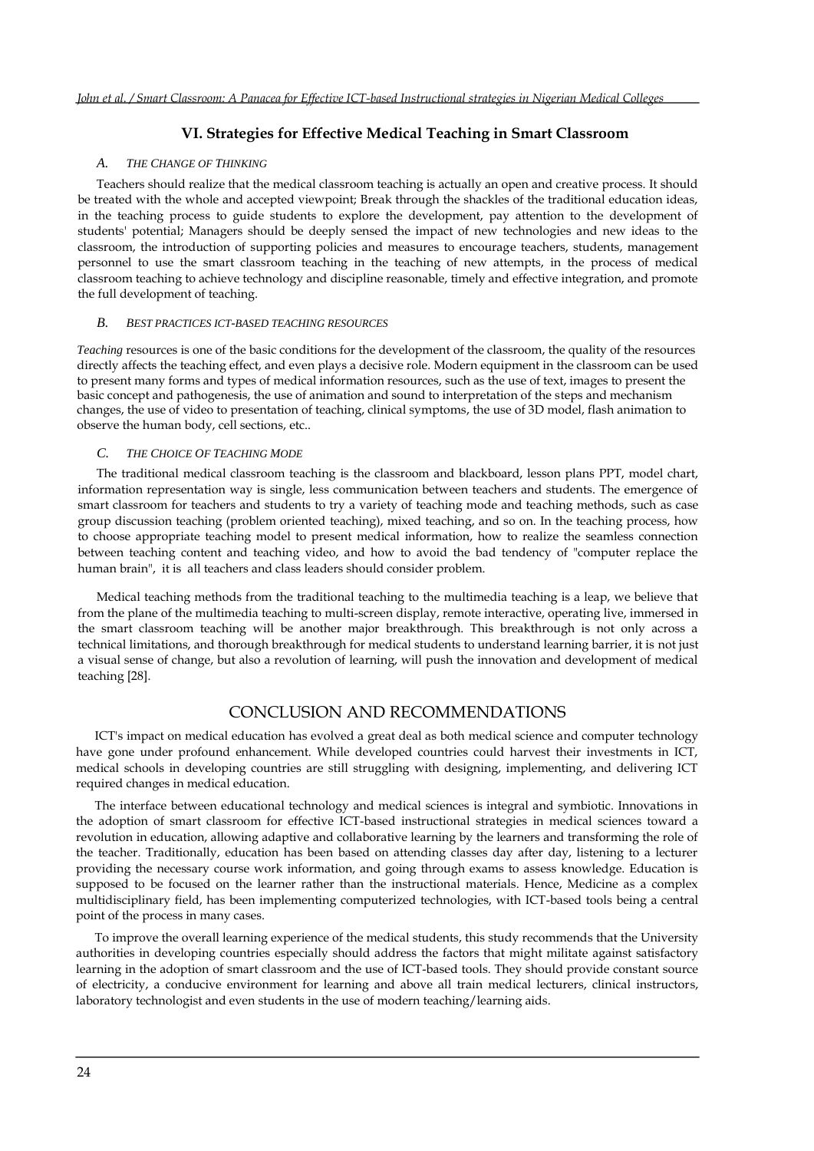## **VI. Strategies for Effective Medical Teaching in Smart Classroom**

#### *A. THE CHANGE OF THINKING*

Teachers should realize that the medical classroom teaching is actually an open and creative process. It should be treated with the whole and accepted viewpoint; Break through the shackles of the traditional education ideas, in the teaching process to guide students to explore the development, pay attention to the development of students' potential; Managers should be deeply sensed the impact of new technologies and new ideas to the classroom, the introduction of supporting policies and measures to encourage teachers, students, management personnel to use the smart classroom teaching in the teaching of new attempts, in the process of medical classroom teaching to achieve technology and discipline reasonable, timely and effective integration, and promote the full development of teaching.

#### *B. BEST PRACTICES ICT-BASED TEACHING RESOURCES*

*Teaching* resources is one of the basic conditions for the development of the classroom, the quality of the resources directly affects the teaching effect, and even plays a decisive role. Modern equipment in the classroom can be used to present many forms and types of medical information resources, such as the use of text, images to present the basic concept and pathogenesis, the use of animation and sound to interpretation of the steps and mechanism changes, the use of video to presentation of teaching, clinical symptoms, the use of 3D model, flash animation to observe the human body, cell sections, etc..

#### *C. THE CHOICE OF TEACHING MODE*

The traditional medical classroom teaching is the classroom and blackboard, lesson plans PPT, model chart, information representation way is single, less communication between teachers and students. The emergence of smart classroom for teachers and students to try a variety of teaching mode and teaching methods, such as case group discussion teaching (problem oriented teaching), mixed teaching, and so on. In the teaching process, how to choose appropriate teaching model to present medical information, how to realize the seamless connection between teaching content and teaching video, and how to avoid the bad tendency of "computer replace the human brain", it is all teachers and class leaders should consider problem.

Medical teaching methods from the traditional teaching to the multimedia teaching is a leap, we believe that from the plane of the multimedia teaching to multi-screen display, remote interactive, operating live, immersed in the smart classroom teaching will be another major breakthrough. This breakthrough is not only across a technical limitations, and thorough breakthrough for medical students to understand learning barrier, it is not just a visual sense of change, but also a revolution of learning, will push the innovation and development of medical teaching [28].

## CONCLUSION AND RECOMMENDATIONS

ICT's impact on medical education has evolved a great deal as both medical science and computer technology have gone under profound enhancement. While developed countries could harvest their investments in ICT, medical schools in developing countries are still struggling with designing, implementing, and delivering ICT required changes in medical education.

The interface between educational technology and medical sciences is integral and symbiotic. Innovations in the adoption of smart classroom for effective ICT-based instructional strategies in medical sciences toward a revolution in education, allowing adaptive and collaborative learning by the learners and transforming the role of the teacher. Traditionally, education has been based on attending classes day after day, listening to a lecturer providing the necessary course work information, and going through exams to assess knowledge. Education is supposed to be focused on the learner rather than the instructional materials. Hence, Medicine as a complex multidisciplinary field, has been implementing computerized technologies, with ICT-based tools being a central point of the process in many cases.

To improve the overall learning experience of the medical students, this study recommends that the University authorities in developing countries especially should address the factors that might militate against satisfactory learning in the adoption of smart classroom and the use of ICT-based tools. They should provide constant source of electricity, a conducive environment for learning and above all train medical lecturers, clinical instructors, laboratory technologist and even students in the use of modern teaching/learning aids.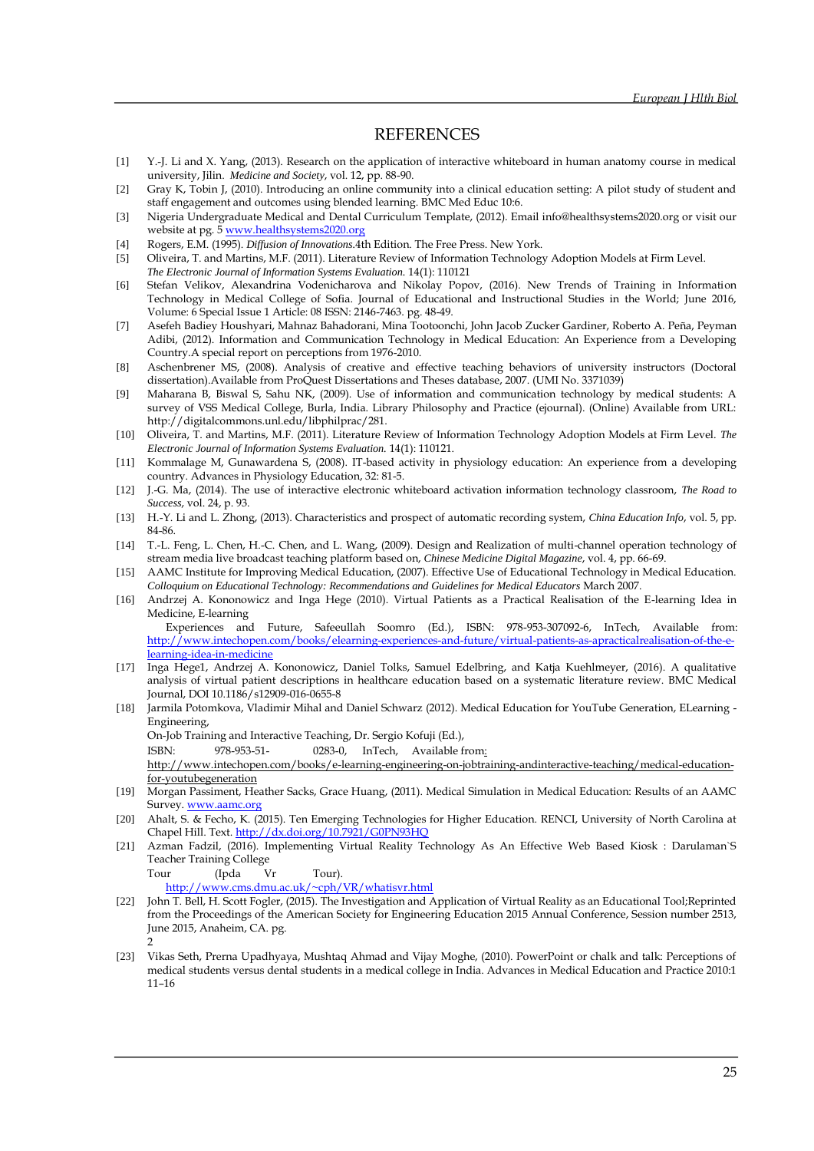## **REFERENCES**

- [1] Y.-J. Li and X. Yang, (2013). Research on the application of interactive whiteboard in human anatomy course in medical university, Jilin. *Medicine and Society*, vol. 12, pp. 88-90.
- [2] Gray K, Tobin J, (2010). Introducing an online community into a clinical education setting: A pilot study of student and staff engagement and outcomes using blended learning. BMC Med Educ 10:6.
- [3] Nigeria Undergraduate Medical and Dental Curriculum Template, (2012). Email info@healthsystems2020.org or visit our website at pg. 5 www.healthsystems2020.org
- [4] Rogers, E.M. (1995). *Diffusion of Innovations.*4th Edition. The Free Press. New York.
- [5] Oliveira, T. and Martins, M.F. (2011). Literature Review of Information Technology Adoption Models at Firm Level.
- *The Electronic Journal of Information Systems Evaluation.* 14(1): 110121 [6] Stefan Velikov, Alexandrina Vodenicharova and Nikolay Popov, (2016). New Trends of Training in Information Technology in Medical College of Sofia. Journal of Educational and Instructional Studies in the World; June 2016, Volume: 6 Special Issue 1 Article: 08 ISSN: 2146-7463. pg. 48-49.
- [7] Asefeh Badiey Houshyari, Mahnaz Bahadorani, Mina Tootoonchi, John Jacob Zucker Gardiner, Roberto A. Peña, Peyman Adibi, (2012). Information and Communication Technology in Medical Education: An Experience from a Developing Country.A special report on perceptions from 1976-2010.
- [8] Aschenbrener MS, (2008). Analysis of creative and effective teaching behaviors of university instructors (Doctoral dissertation).Available from ProQuest Dissertations and Theses database, 2007. (UMI No. 3371039)
- [9] Maharana B, Biswal S, Sahu NK, (2009). Use of information and communication technology by medical students: A survey of VSS Medical College, Burla, India. Library Philosophy and Practice (ejournal). (Online) Available from URL: http://digitalcommons.unl.edu/libphilprac/281.
- [10] Oliveira, T. and Martins, M.F. (2011). Literature Review of Information Technology Adoption Models at Firm Level. *The Electronic Journal of Information Systems Evaluation.* 14(1): 110121.
- [11] Kommalage M, Gunawardena S, (2008). IT-based activity in physiology education: An experience from a developing country. Advances in Physiology Education, 32: 81-5.
- [12] J.-G. Ma, (2014). The use of interactive electronic whiteboard activation information technology classroom, *The Road to Success*, vol. 24, p. 93.
- [13] H.-Y. Li and L. Zhong, (2013). Characteristics and prospect of automatic recording system, *China Education Info*, vol. 5, pp. 84-86.
- [14] T.-L. Feng, L. Chen, H.-C. Chen, and L. Wang, (2009). Design and Realization of multi-channel operation technology of stream media live broadcast teaching platform based on, *Chinese Medicine Digital Magazine*, vol. 4, pp. 66-69.
- [15] AAMC Institute for Improving Medical Education, (2007). Effective Use of Educational Technology in Medical Education. *Colloquium on Educational Technology: Recommendations and Guidelines for Medical Educators* March 2007.
- [16] Andrzej A. Kononowicz and Inga Hege (2010). Virtual Patients as a Practical Realisation of the E-learning Idea in Medicine, E-learning

Experiences and Future, Safeeullah Soomro (Ed.), ISBN: 978-953-307092-6, InTech, Available from: [http://www.intechopen.com/books/elearning-experiences-and-future/virtual-patients-as-apracticalrealisation-of-the-e](http://www.intechopen.com/books/e-learning-experiences-and-future/virtual-patients-as-apractical-realisation-of-the-e-learning-idea-in-medicine)[learning-idea-in-medicine](http://www.intechopen.com/books/e-learning-experiences-and-future/virtual-patients-as-apractical-realisation-of-the-e-learning-idea-in-medicine) 

- [17] Inga Hege1, Andrzej A. Kononowicz, Daniel Tolks, Samuel Edelbring, and Katja Kuehlmeyer, (2016). A qualitative analysis of virtual patient descriptions in healthcare education based on a systematic literature review. BMC Medical Journal, DOI 10.1186/s12909-016-0655-8
- [18] Jarmila Potomkova, Vladimir Mihal and Daniel Schwarz (2012). Medical Education for YouTube Generation, ELearning Engineering,

On-Job Training and Interactive Teaching, Dr. Sergio Kofuji (Ed.),

ISBN: 978-953-51- 0283-0, InTech, Available from:

http://www.intechopen.com/books/e-learning-engineering-on-jobtraining-andinteractive-teaching/medical-educationfor-youtubegeneration

- [19] Morgan Passiment, Heather Sacks, Grace Huang, (2011). Medical Simulation in Medical Education: Results of an AAMC Survey. [www.aamc.org](http://www.aamc.org/)
- [20] Ahalt, S. & Fecho, K. (2015). Ten Emerging Technologies for Higher Education. RENCI, University of North Carolina at Chapel Hill. Text[. http://dx.doi.org/10.7921/G0PN93HQ](http://dx.doi.org/10.7921/G0PN93HQ)
- [21] Azman Fadzil, (2016). Implementing Virtual Reality Technology As An Effective Web Based Kiosk : Darulaman`S Teacher Training College

Tour (Ipda Vr Tour).

<http://www.cms.dmu.ac.uk/~cph/VR/whatisvr.html>

- [22] John T. Bell, H. Scott Fogler, (2015). The Investigation and Application of Virtual Reality as an Educational Tool;Reprinted from the Proceedings of the American Society for Engineering Education 2015 Annual Conference, Session number 2513, June 2015, Anaheim, CA. pg. 2
- [23] Vikas Seth, Prerna Upadhyaya, Mushtaq Ahmad and Vijay Moghe, (2010). PowerPoint or chalk and talk: Perceptions of medical students versus dental students in a medical college in India. Advances in Medical Education and Practice 2010:1 11–16